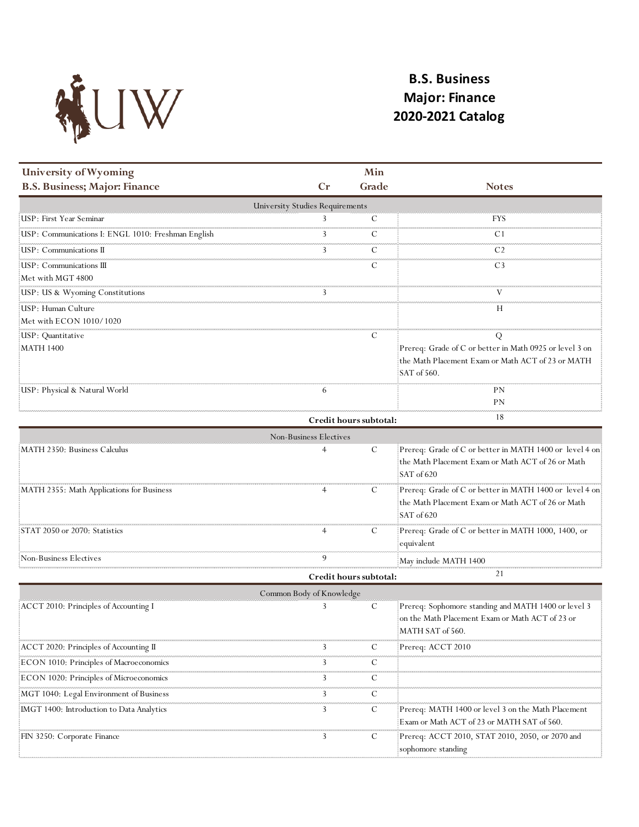

## **B.S. Business Major: Finance 2020-2021 Catalog**

| <b>University of Wyoming</b>                       |    | Min                    |                                                                                                                             |
|----------------------------------------------------|----|------------------------|-----------------------------------------------------------------------------------------------------------------------------|
| <b>B.S. Business; Major: Finance</b>               | Cr | Grade                  | <b>Notes</b>                                                                                                                |
| <b>University Studies Requirements</b>             |    |                        |                                                                                                                             |
| USP: First Year Seminar!                           |    |                        | FYS                                                                                                                         |
| USP: Communications I: ENGL 1010: Freshman English |    |                        | U                                                                                                                           |
| USP: Communications II                             |    |                        |                                                                                                                             |
| :USP: Communications III<br>Met with MGT 4800      |    |                        | C3                                                                                                                          |
| USP: US & Wyoming Constitutions                    |    |                        |                                                                                                                             |
| USP: Human Culture<br>Met with ECON 1010/1020      |    |                        | н                                                                                                                           |
| USP: Quantitative                                  |    |                        |                                                                                                                             |
| MATH 1400                                          |    |                        | Prereq: Grade of C or better in Math 0925 or level 3 on<br>the Math Placement Exam or Math ACT of 23 or MATH<br>SAT of 560. |
| USP: Physical & Natural World                      |    |                        | РN<br>PN                                                                                                                    |
|                                                    |    | Credit hours subtotal: | 18                                                                                                                          |

| Non-Business Electives                    |                        |  |                                                                                                                             |  |
|-------------------------------------------|------------------------|--|-----------------------------------------------------------------------------------------------------------------------------|--|
| MATH 2350: Business Calculus              |                        |  | Prereq: Grade of C or better in MATH 1400 or level 4 on:<br>the Math Placement Exam or Math ACT of 26 or Math<br>SAT of 620 |  |
| MATH 2355: Math Applications for Business |                        |  | Prereq: Grade of C or better in MATH 1400 or level 4 on<br>the Math Placement Exam or Math ACT of 26 or Math<br>SAT of 620  |  |
| STAT 2050 or 2070: Statistics             |                        |  | Prereq: Grade of C or better in MATH 1000, 1400, or<br>equivalent                                                           |  |
| Non-Business Electives                    |                        |  | May include MATH 1400                                                                                                       |  |
|                                           | Credit hours subtotal: |  |                                                                                                                             |  |

**Credit hours subtotal:**

| Common Body of Knowledge                  |  |              |                                                                                                                             |
|-------------------------------------------|--|--------------|-----------------------------------------------------------------------------------------------------------------------------|
| : ACCT 2010: Principles of Accounting I   |  |              | Prereq: Sophomore standing and MATH 1400 or level 3]<br>on the Math Placement Exam or Math ACT of 23 or<br>MATH SAT of 560. |
| ACCT 2020: Principles of Accounting II    |  | $\mathbf{L}$ | Prereq: ACCT 2010]                                                                                                          |
| ECON 1010: Principles of Macroeconomics   |  |              |                                                                                                                             |
| ECON 1020: Principles of Microeconomics   |  |              |                                                                                                                             |
| MGT 1040: Legal Environment of Business   |  |              |                                                                                                                             |
| IMGT 1400: Introduction to Data Analytics |  |              | Prereq: MATH 1400 or level 3 on the Math Placement<br>Exam or Math ACT of 23 or MATH SAT of 560.                            |
| FIN 3250: Corporate Finance               |  |              | Prereq: ACCT 2010, STAT 2010, 2050, or 2070 and<br>sophomore standing                                                       |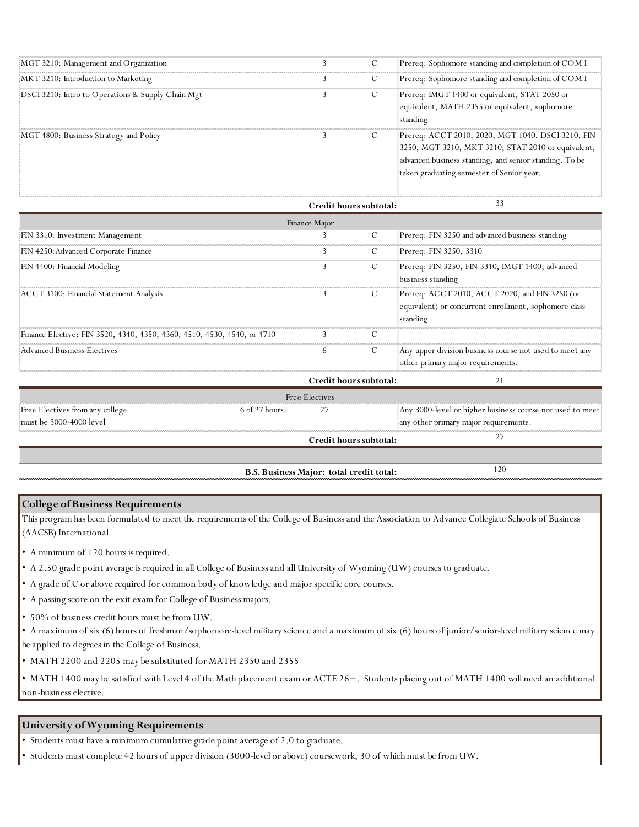| MGT 3210: Management and Organization             |              | Prereq: Sophomore standing and completion of COM I                                                                                                                                                             |
|---------------------------------------------------|--------------|----------------------------------------------------------------------------------------------------------------------------------------------------------------------------------------------------------------|
| MKT 3210: Introduction to Marketing               |              | Prereq: Sophomore standing and completion of COM I                                                                                                                                                             |
| DSCI 3210: Intro to Operations & Supply Chain Mgt | $\mathbf{U}$ | Prereq: IMGT 1400 or equivalent, STAT 2050 or<br>equivalent, MATH 2355 or equivalent, sophomore<br>standing                                                                                                    |
| MGT 4800: Business Strategy and Policy            |              | Prereq: ACCT 2010, 2020, MGT 1040, DSCI 3210, FIN<br>3250, MGT 3210, MKT 3210, STAT 2010 or equivalent,<br>advanced business standing, and senior standing. To be<br>taken graduating semester of Senior year. |

|                                                                         | Credit hours subtotal: |    |                                                                                                                     |
|-------------------------------------------------------------------------|------------------------|----|---------------------------------------------------------------------------------------------------------------------|
|                                                                         | Finance Major          |    |                                                                                                                     |
| FIN 3310: Investment Management                                         |                        |    | Prereq: FIN 3250 and advanced business standing                                                                     |
| FIN 4250: Advanced Corporate Finance                                    |                        | U. | Prereq: FIN 3250, 3310                                                                                              |
| FIN 4400: Financial Modeling                                            |                        |    | Prereq: FIN 3250, FIN 3310, IMGT 1400, advanced<br>business standing                                                |
| ACCT 3100: Financial Statement Analysis                                 |                        | C. | Prereq: ACCT 2010, ACCT 2020, and FIN 3250 (or<br>equivalent) or concurrent enrollment, sophomore class<br>standing |
| Finance Elective: FIN 3520, 4340, 4350, 4360, 4510, 4530, 4540, or 4710 |                        |    |                                                                                                                     |
| Advanced Business Electives                                             |                        |    | Any upper division business course not used to meet any<br>other primary major requirements.                        |

|                                 |                                  | Credit hours subtotal: |                                                           |
|---------------------------------|----------------------------------|------------------------|-----------------------------------------------------------|
|                                 |                                  | <b>Free Electives</b>  |                                                           |
| Free Electives from any college | $6 \text{ of } 27 \text{ hours}$ |                        | Any 3000-level or higher business course not used to meet |
| must be $3000-4000$ level       |                                  |                        | any other primary major requirements.                     |
|                                 |                                  | Credit hours subtotal: |                                                           |
|                                 |                                  |                        |                                                           |

**B.S. Business Major: total credit total:**

120

## **College of Business Requirements**

This program has been formulated to meet the requirements of the College of Business and the Association to Advance Collegiate Schools of Business (AACSB) International.

• A minimum of 120 hours is required.

- A 2.50 grade point average is required in all College of Business and all University of Wyoming (UW) courses to graduate.
- A grade of C or above required for common body of knowledge and major specific core courses.
- A passing score on the exit exam for College of Business majors.
- 50% of business credit hours must be from UW.

• A maximum of six (6) hours of freshman/sophomore-level military science and a maximum of six (6) hours of junior/senior-level military science may be applied to degrees in the College of Business.

• MATH 2200 and 2205 may be substituted for MATH 2350 and 2355

• MATH 1400 may be satisfied with Level 4 of the Math placement exam or ACTE 26+. Students placing out of MATH 1400 will need an additional non-business elective.

## **University of Wyoming Requirements**

• Students must have a minimum cumulative grade point average of 2.0 to graduate.

• Students must complete 42 hours of upper division (3000-level or above) coursework, 30 of which must be from UW.